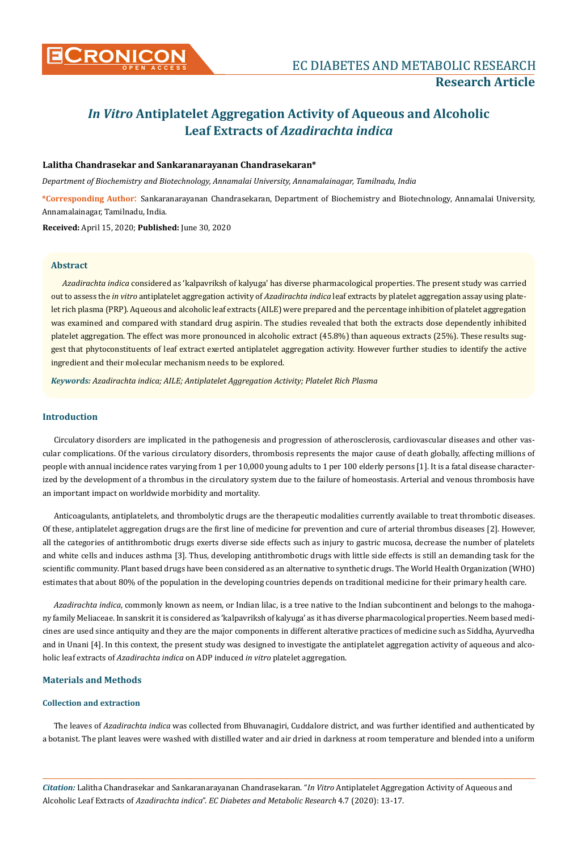

# *In Vitro* **Antiplatelet Aggregation Activity of Aqueous and Alcoholic Leaf Extracts of** *Azadirachta indica*

# **Lalitha Chandrasekar and Sankaranarayanan Chandrasekaran\***

*Department of Biochemistry and Biotechnology, Annamalai University, Annamalainagar, Tamilnadu, India*

**\*Corresponding Author**: Sankaranarayanan Chandrasekaran, Department of Biochemistry and Biotechnology, Annamalai University, Annamalainagar, Tamilnadu, India.

**Received:** April 15, 2020; **Published:** June 30, 2020

# **Abstract**

*Azadirachta indica* considered as 'kalpavriksh of kalyuga' has diverse pharmacological properties. The present study was carried out to assess the *in vitro* antiplatelet aggregation activity of *Azadirachta indica* leaf extracts by platelet aggregation assay using platelet rich plasma (PRP). Aqueous and alcoholic leaf extracts (AILE) were prepared and the percentage inhibition of platelet aggregation was examined and compared with standard drug aspirin. The studies revealed that both the extracts dose dependently inhibited platelet aggregation. The effect was more pronounced in alcoholic extract (45.8%) than aqueous extracts (25%). These results suggest that phytoconstituents of leaf extract exerted antiplatelet aggregation activity. However further studies to identify the active ingredient and their molecular mechanism needs to be explored.

*Keywords: Azadirachta indica; AILE; Antiplatelet Aggregation Activity; Platelet Rich Plasma*

# **Introduction**

Circulatory disorders are implicated in the pathogenesis and progression of atherosclerosis, cardiovascular diseases and other vascular complications. Of the various circulatory disorders, thrombosis represents the major cause of death globally, affecting millions of people with annual incidence rates varying from 1 per 10,000 young adults to 1 per 100 elderly persons [1]. It is a fatal disease characterized by the development of a thrombus in the circulatory system due to the failure of homeostasis. Arterial and venous thrombosis have an important impact on worldwide morbidity and mortality.

Anticoagulants, antiplatelets, and thrombolytic drugs are the therapeutic modalities currently available to treat thrombotic diseases. Of these, antiplatelet aggregation drugs are the first line of medicine for prevention and cure of arterial thrombus diseases [2]. However, all the categories of antithrombotic drugs exerts diverse side effects such as injury to gastric mucosa, decrease the number of platelets and white cells and induces asthma [3]. Thus, developing antithrombotic drugs with little side effects is still an demanding task for the scientific community. Plant based drugs have been considered as an alternative to synthetic drugs. The World Health Organization (WHO) estimates that about 80% of the population in the developing countries depends on traditional medicine for their primary health care.

*Azadirachta indica*, commonly known as neem, or Indian lilac, is a tree native to the Indian subcontinent and belongs to the mahogany family Meliaceae. In sanskrit it is considered as 'kalpavriksh of kalyuga' as it has diverse pharmacological properties. Neem based medicines are used since antiquity and they are the major components in different alterative practices of medicine such as Siddha, Ayurvedha and in Unani [4]. In this context, the present study was designed to investigate the antiplatelet aggregation activity of aqueous and alcoholic leaf extracts of *Azadirachta indica* on ADP induced *in vitro* platelet aggregation.

# **Materials and Methods**

# **Collection and extraction**

The leaves of *Azadirachta indica* was collected from Bhuvanagiri, Cuddalore district, and was further identified and authenticated by a botanist. The plant leaves were washed with distilled water and air dried in darkness at room temperature and blended into a uniform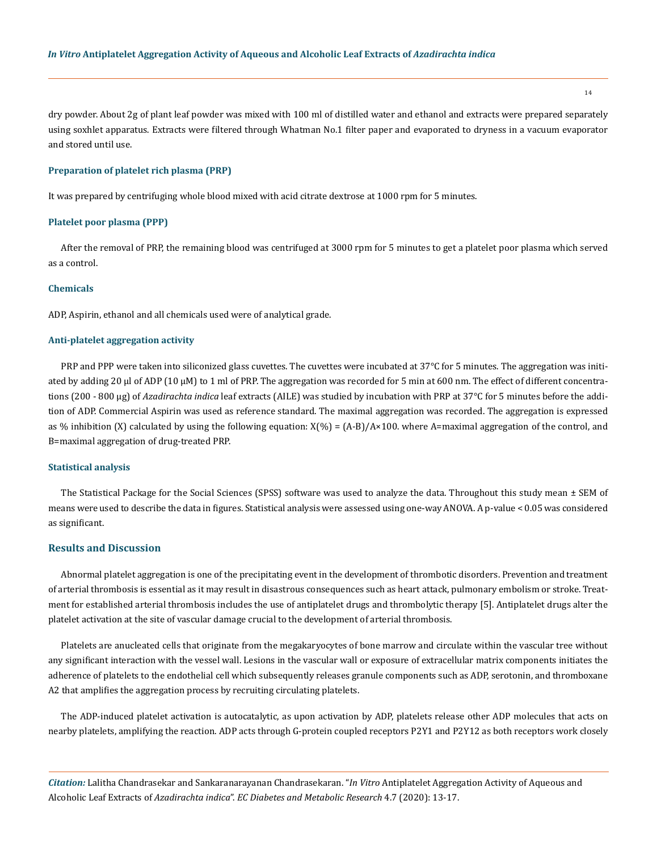14

dry powder. About 2g of plant leaf powder was mixed with 100 ml of distilled water and ethanol and extracts were prepared separately using soxhlet apparatus. Extracts were filtered through Whatman No.1 filter paper and evaporated to dryness in a vacuum evaporator and stored until use.

## **Preparation of platelet rich plasma (PRP)**

It was prepared by centrifuging whole blood mixed with acid citrate dextrose at 1000 rpm for 5 minutes.

#### **Platelet poor plasma (PPP)**

After the removal of PRP, the remaining blood was centrifuged at 3000 rpm for 5 minutes to get a platelet poor plasma which served as a control.

#### **Chemicals**

ADP, Aspirin, ethanol and all chemicals used were of analytical grade.

#### **Anti-platelet aggregation activity**

PRP and PPP were taken into siliconized glass cuvettes. The cuvettes were incubated at 37°C for 5 minutes. The aggregation was initiated by adding 20 µl of ADP (10 µM) to 1 ml of PRP. The aggregation was recorded for 5 min at 600 nm. The effect of different concentrations (200 - 800 µg) of *Azadirachta indica* leaf extracts (AILE) was studied by incubation with PRP at 37°C for 5 minutes before the addition of ADP. Commercial Aspirin was used as reference standard. The maximal aggregation was recorded. The aggregation is expressed as % inhibition (X) calculated by using the following equation:  $X(\%) = (A-B)/A \times 100$ . where A=maximal aggregation of the control, and B=maximal aggregation of drug-treated PRP.

#### **Statistical analysis**

The Statistical Package for the Social Sciences (SPSS) software was used to analyze the data. Throughout this study mean  $\pm$  SEM of means were used to describe the data in figures. Statistical analysis were assessed using one-way ANOVA. A p-value < 0.05 was considered as significant.

# **Results and Discussion**

Abnormal platelet aggregation is one of the precipitating event in the development of thrombotic disorders. Prevention and treatment of arterial thrombosis is essential as it may result in disastrous consequences such as heart attack, pulmonary embolism or stroke. Treatment for established arterial thrombosis includes the use of antiplatelet drugs and thrombolytic therapy [5]. Antiplatelet drugs alter the platelet activation at the site of vascular damage crucial to the development of arterial thrombosis.

Platelets are anucleated cells that originate from the megakaryocytes of bone marrow and circulate within the vascular tree without any significant interaction with the vessel wall. Lesions in the vascular wall or exposure of extracellular matrix components initiates the adherence of platelets to the endothelial cell which subsequently releases granule components such as ADP, serotonin, and thromboxane A2 that amplifies the aggregation process by recruiting circulating platelets.

The ADP-induced platelet activation is autocatalytic, as upon activation by ADP, platelets release other ADP molecules that acts on nearby platelets, amplifying the reaction. ADP acts through G-protein coupled receptors P2Y1 and P2Y12 as both receptors work closely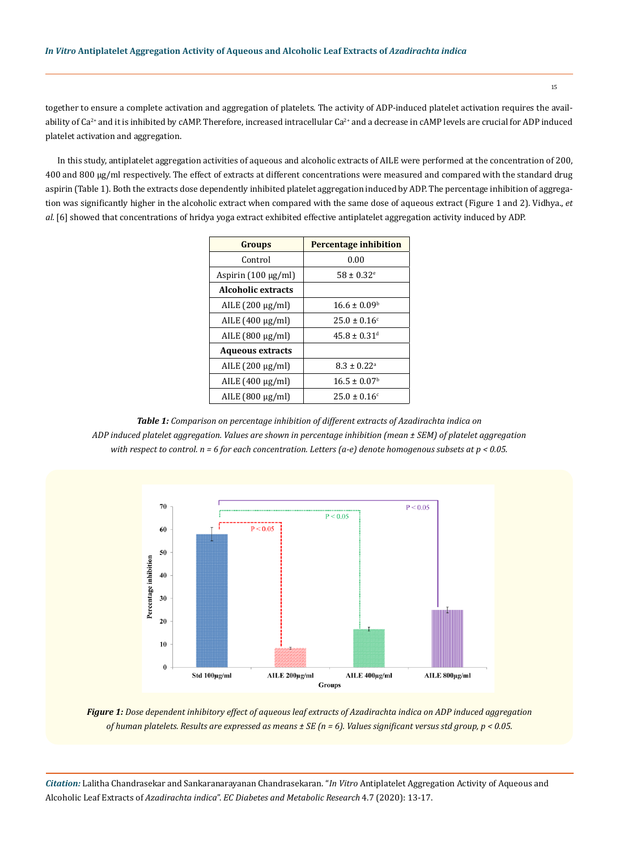together to ensure a complete activation and aggregation of platelets. The activity of ADP-induced platelet activation requires the availability of Ca<sup>2+</sup> and it is inhibited by cAMP. Therefore, increased intracellular Ca<sup>2+</sup> and a decrease in cAMP levels are crucial for ADP induced platelet activation and aggregation.

In this study, antiplatelet aggregation activities of aqueous and alcoholic extracts of AILE were performed at the concentration of 200, 400 and 800 µg/ml respectively. The effect of extracts at different concentrations were measured and compared with the standard drug aspirin (Table 1). Both the extracts dose dependently inhibited platelet aggregation induced by ADP. The percentage inhibition of aggregation was significantly higher in the alcoholic extract when compared with the same dose of aqueous extract (Figure 1 and 2). Vidhya., *et al.* [6] showed that concentrations of hridya yoga extract exhibited effective antiplatelet aggregation activity induced by ADP.

| <b>Groups</b>             | <b>Percentage inhibition</b> |
|---------------------------|------------------------------|
| Control                   | 0.00                         |
| Aspirin $(100 \mu g/ml)$  | $58 \pm 0.32$ <sup>e</sup>   |
| <b>Alcoholic extracts</b> |                              |
| AILE (200 μg/ml)          | $16.6 \pm 0.09^{\circ}$      |
| AILE (400 μg/ml)          | $25.0 \pm 0.16$ <sup>c</sup> |
| AILE $(800 \mu g/ml)$     | $45.8 \pm 0.31$ <sup>d</sup> |
| <b>Aqueous extracts</b>   |                              |
| AILE $(200 \mu g/ml)$     | $8.3 \pm 0.22$ <sup>a</sup>  |
| AILE $(400 \mu g/ml)$     | $16.5 \pm 0.07$ <sup>b</sup> |
| AILE $(800 \mu g/ml)$     | $25.0 \pm 0.16$ <sup>c</sup> |

*Table 1: Comparison on percentage inhibition of different extracts of Azadirachta indica on ADP induced platelet aggregation. Values are shown in percentage inhibition (mean ± SEM) of platelet aggregation with respect to control. n = 6 for each concentration. Letters (a-e) denote homogenous subsets at p < 0.05.*



*Figure 1: Dose dependent inhibitory effect of aqueous leaf extracts of Azadirachta indica on ADP induced aggregation of human platelets. Results are expressed as means ± SE (n = 6). Values significant versus std group, p < 0.05.*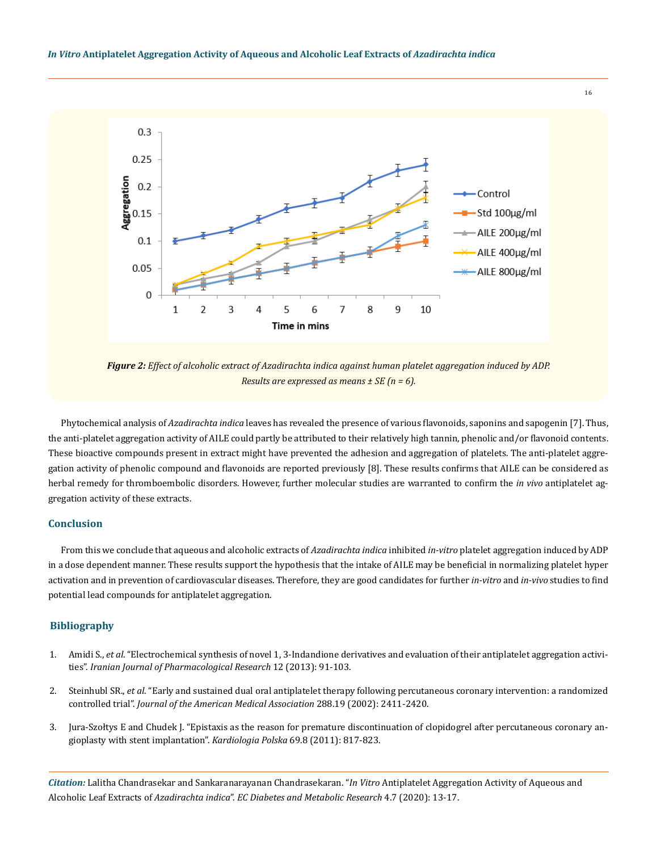

*Figure 2: Effect of alcoholic extract of Azadirachta indica against human platelet aggregation induced by ADP. Results are expressed as means ± SE (n = 6).*

Phytochemical analysis of *Azadirachta indica* leaves has revealed the presence of various flavonoids, saponins and sapogenin [7]. Thus, the anti-platelet aggregation activity of AILE could partly be attributed to their relatively high tannin, phenolic and/or flavonoid contents. These bioactive compounds present in extract might have prevented the adhesion and aggregation of platelets. The anti-platelet aggregation activity of phenolic compound and flavonoids are reported previously [8]. These results confirms that AILE can be considered as herbal remedy for thromboembolic disorders. However, further molecular studies are warranted to confirm the *in vivo* antiplatelet aggregation activity of these extracts.

# **Conclusion**

From this we conclude that aqueous and alcoholic extracts of *Azadirachta indica* inhibited *in-vitro* platelet aggregation induced by ADP in a dose dependent manner. These results support the hypothesis that the intake of AILE may be beneficial in normalizing platelet hyper activation and in prevention of cardiovascular diseases. Therefore, they are good candidates for further *in-vitro* and *in-vivo* studies to find potential lead compounds for antiplatelet aggregation.

## **Bibliography**

- 1. Amidi S., *et al*[. "Electrochemical synthesis of novel 1, 3-Indandione derivatives and evaluation of their antiplatelet aggregation activi](https://pubmed.ncbi.nlm.nih.gov/24250677/)ties". *[Iranian Journal of Pharmacological Research](https://pubmed.ncbi.nlm.nih.gov/24250677/)* 12 (2013): 91-103.
- 2. Steinhubl SR., *et al*[. "Early and sustained dual oral antiplatelet therapy following percutaneous coronary intervention: a randomized](https://pubmed.ncbi.nlm.nih.gov/12435254/)  controlled trial". *[Journal of the American Medical Association](https://pubmed.ncbi.nlm.nih.gov/12435254/)* 288.19 (2002): 2411-2420.
- 3. [Jura-Szołtys E and Chudek J. "Epistaxis as the reason for premature discontinuation of clopidogrel after percutaneous coronary an](https://pubmed.ncbi.nlm.nih.gov/21850627/)[gioplasty with stent implantation".](https://pubmed.ncbi.nlm.nih.gov/21850627/) *Kardiologia Polska* 69.8 (2011): 817-823.